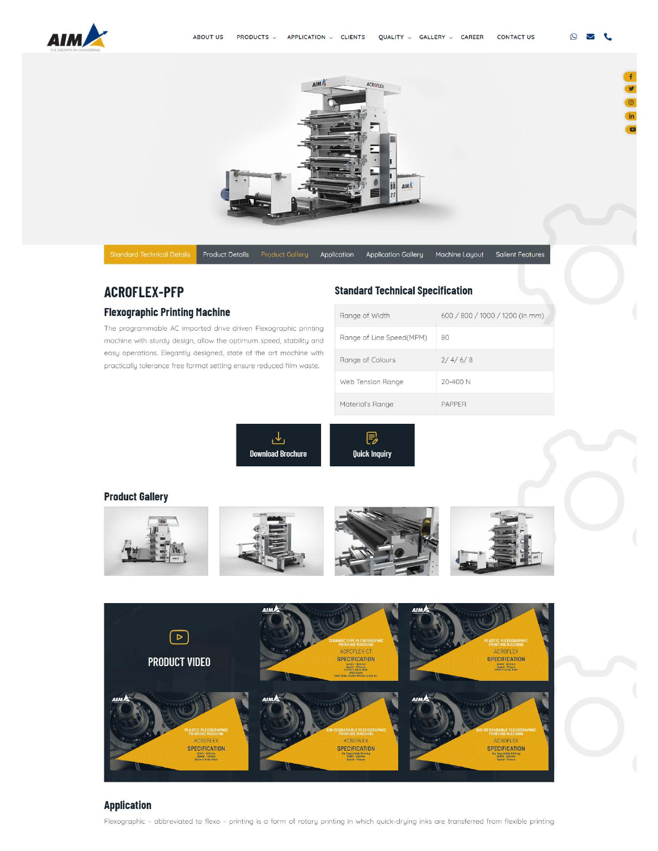

 $\odot$  $\overline{\smile}$ t.

¥



Product Details Product Gallery Application Application Gallery Machine Layout Salient Features

# **ACROFLEX-PFP**

### **Flexographic Printing Machine**

The programmable AC imported drive driven Flexogrophic printing machine with sturdy design, allow the optimum speed. stability and [easy operations. Elegantly designed. state of the art machine with](https://www.aimflex.com/flexographic_printing_machine_paper_printing.html)  practically tolerance free format setting ensure reduced film waste.

## **Standard Technical Specification**

| Range of Width           | 600 / 800 / 1000 / 1200 (in mm) |
|--------------------------|---------------------------------|
| Range of Line Speed(MPM) | 80                              |
| Range of Colours         | 2/4/6/8                         |
| Web Tension Range        | $20 - 400N$                     |
| Material's Range         | PAPPER                          |

\_<br>اگا **Download Brochure** 



## **[Product Gallery](https://www.aimflex.com/flexographic_printing_machine_paper_printing.html)**





## **Application**

Flexogrophic - abbreviated to flexo - [printing is a form of rotary printing in which quick-drying inks ore transferred from flexible printing](https://www.aimflex.com/flexographic_printing_machine_paper_printing.html)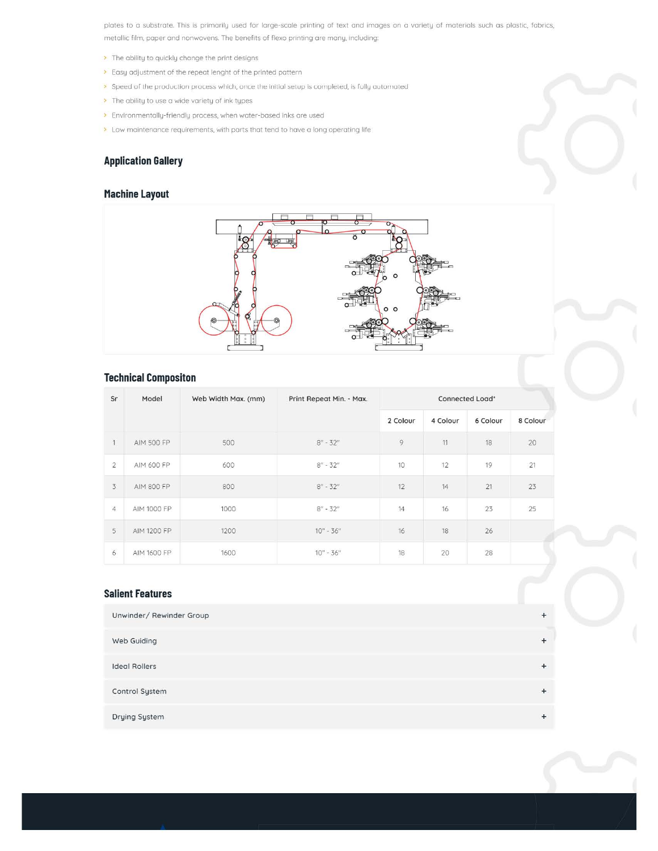[plates to a substrate. This is primarily used for large-scale printing of text and images on a variety of materials such as plastic, fabrics.](https://www.aimflex.com/flexographic_printing_machine_paper_printing.html)  metallic film, paper and nonwovens. The benefits of flexo printing ore many, including.

- > The ability to quickly change the print designs
- > Easy adjustment of the repeat lenght of the printed pattern
- > Speed of the production process which, once the initial setup is completed, is fully automated
- > The ability to use a wide variety of ink types
- > Environmentally-friendly process, when water-based inks are used
- > Low maintenance requirements, with parts that tend to have a long operating life

## **Application Gallery**

## **[Machine Layout](https://www.aimflex.com/flexographic_printing_machine_paper_printing.html)**



## **Technical Compositon**

| Sr             | Model              | Web Width Max. (mm) | Print Repeat Min. - Max. | Connected Load* |          |          |          |
|----------------|--------------------|---------------------|--------------------------|-----------------|----------|----------|----------|
|                |                    |                     |                          | 2 Colour        | 4 Colour | 6 Colour | 8 Colour |
| $\overline{1}$ | AIM 500 FP         | 500                 | $8'' - 32''$             | $\overline{9}$  | 11       | 18       | 20       |
| $\overline{2}$ | AIM 600 FP         | 600                 | $8'' - 32''$             | 10              | 12       | 19       | 21       |
| 3              | <b>AIM 800 FP</b>  | 800                 | $8'' - 32''$             | 12              | 14       | 21       | 23       |
| $\overline{4}$ | AIM 1000 FP        | 1000                | $8'' - 32''$             | 14              | 16       | 23       | 25       |
| 5              | <b>AIM 1200 FP</b> | 1200                | $10'' - 36''$            | 16              | 18       | 26       |          |
| 6              | AIM 1600 FP        | 1600                | $10'' - 36''$            | 18              | 20       | 28       |          |

#### **Salient Features**

| Unwinder/ Rewinder Group | $+$    |
|--------------------------|--------|
| Web Guiding              | $+$    |
| <b>Ideal Rollers</b>     | $+$    |
| Control System           | $+$    |
| Drying System            | $^{+}$ |